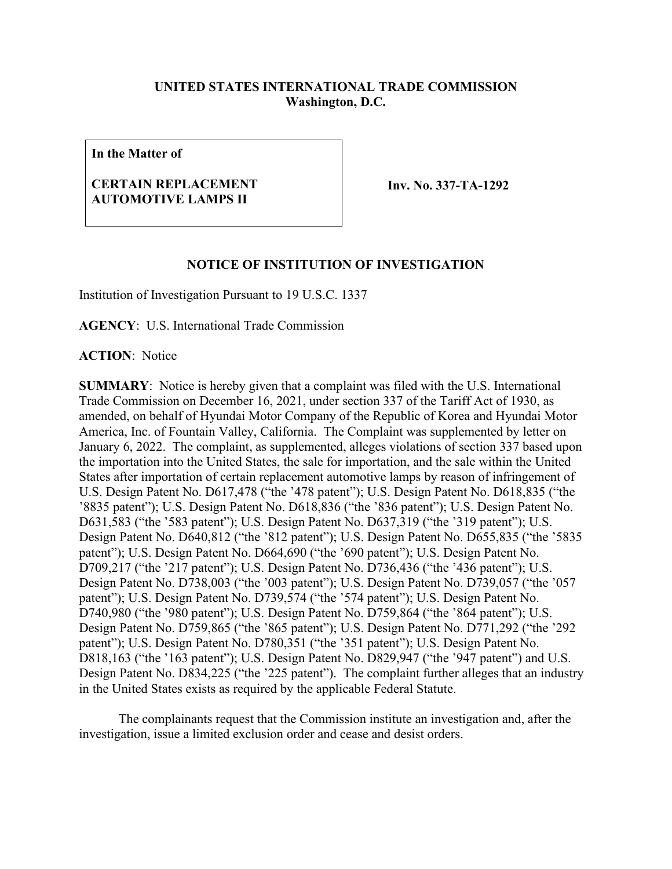## **UNITED STATES INTERNATIONAL TRADE COMMISSION Washington, D.C.**

**In the Matter of**

## **CERTAIN REPLACEMENT AUTOMOTIVE LAMPS II**

**Inv. No. 337-TA-1292**

## **NOTICE OF INSTITUTION OF INVESTIGATION**

Institution of Investigation Pursuant to 19 U.S.C. 1337

**AGENCY**: U.S. International Trade Commission

**ACTION**: Notice

**SUMMARY**: Notice is hereby given that a complaint was filed with the U.S. International Trade Commission on December 16, 2021, under section 337 of the Tariff Act of 1930, as amended, on behalf of Hyundai Motor Company of the Republic of Korea and Hyundai Motor America, Inc. of Fountain Valley, California. The Complaint was supplemented by letter on January 6, 2022. The complaint, as supplemented, alleges violations of section 337 based upon the importation into the United States, the sale for importation, and the sale within the United States after importation of certain replacement automotive lamps by reason of infringement of U.S. Design Patent No. D617,478 ("the '478 patent"); U.S. Design Patent No. D618,835 ("the '8835 patent"); U.S. Design Patent No. D618,836 ("the '836 patent"); U.S. Design Patent No. D631,583 ("the '583 patent"); U.S. Design Patent No. D637,319 ("the '319 patent"); U.S. Design Patent No. D640,812 ("the '812 patent"); U.S. Design Patent No. D655,835 ("the '5835 patent"); U.S. Design Patent No. D664,690 ("the '690 patent"); U.S. Design Patent No. D709,217 ("the '217 patent"); U.S. Design Patent No. D736,436 ("the '436 patent"); U.S. Design Patent No. D738,003 ("the '003 patent"); U.S. Design Patent No. D739,057 ("the '057 patent"); U.S. Design Patent No. D739,574 ("the '574 patent"); U.S. Design Patent No. D740,980 ("the '980 patent"); U.S. Design Patent No. D759,864 ("the '864 patent"); U.S. Design Patent No. D759,865 ("the '865 patent"); U.S. Design Patent No. D771,292 ("the '292 patent"); U.S. Design Patent No. D780,351 ("the '351 patent"); U.S. Design Patent No. D818,163 ("the '163 patent"); U.S. Design Patent No. D829,947 ("the '947 patent") and U.S. Design Patent No. D834,225 ("the '225 patent"). The complaint further alleges that an industry in the United States exists as required by the applicable Federal Statute.

The complainants request that the Commission institute an investigation and, after the investigation, issue a limited exclusion order and cease and desist orders.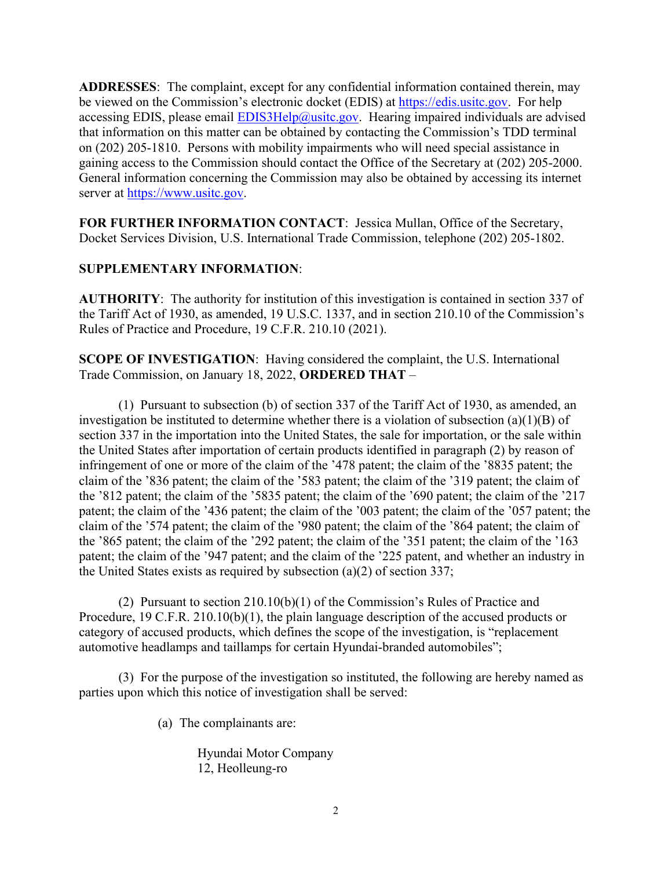**ADDRESSES**: The complaint, except for any confidential information contained therein, may be viewed on the Commission's electronic docket (EDIS) at [https://edis.usitc.gov.](https://edis.usitc.gov/) For help accessing EDIS, please email  $EDIS3Help@usite.gov$ . Hearing impaired individuals are advised that information on this matter can be obtained by contacting the Commission's TDD terminal on (202) 205-1810. Persons with mobility impairments who will need special assistance in gaining access to the Commission should contact the Office of the Secretary at (202) 205-2000. General information concerning the Commission may also be obtained by accessing its internet server at [https://www.usitc.gov.](https://www.usitc.gov/)

**FOR FURTHER INFORMATION CONTACT**: Jessica Mullan, Office of the Secretary, Docket Services Division, U.S. International Trade Commission, telephone (202) 205-1802.

## **SUPPLEMENTARY INFORMATION**:

**AUTHORITY**: The authority for institution of this investigation is contained in section 337 of the Tariff Act of 1930, as amended, 19 U.S.C. 1337, and in section 210.10 of the Commission's Rules of Practice and Procedure, 19 C.F.R. 210.10 (2021).

**SCOPE OF INVESTIGATION**: Having considered the complaint, the U.S. International Trade Commission, on January 18, 2022, **ORDERED THAT** –

(1) Pursuant to subsection (b) of section 337 of the Tariff Act of 1930, as amended, an investigation be instituted to determine whether there is a violation of subsection (a)(1)(B) of section 337 in the importation into the United States, the sale for importation, or the sale within the United States after importation of certain products identified in paragraph (2) by reason of infringement of one or more of the claim of the '478 patent; the claim of the '8835 patent; the claim of the '836 patent; the claim of the '583 patent; the claim of the '319 patent; the claim of the '812 patent; the claim of the '5835 patent; the claim of the '690 patent; the claim of the '217 patent; the claim of the '436 patent; the claim of the '003 patent; the claim of the '057 patent; the claim of the '574 patent; the claim of the '980 patent; the claim of the '864 patent; the claim of the '865 patent; the claim of the '292 patent; the claim of the '351 patent; the claim of the '163 patent; the claim of the '947 patent; and the claim of the '225 patent, and whether an industry in the United States exists as required by subsection (a)(2) of section 337;

(2) Pursuant to section 210.10(b)(1) of the Commission's Rules of Practice and Procedure, 19 C.F.R. 210.10(b)(1), the plain language description of the accused products or category of accused products, which defines the scope of the investigation, is "replacement automotive headlamps and taillamps for certain Hyundai-branded automobiles";

(3) For the purpose of the investigation so instituted, the following are hereby named as parties upon which this notice of investigation shall be served:

(a) The complainants are:

Hyundai Motor Company 12, Heolleung-ro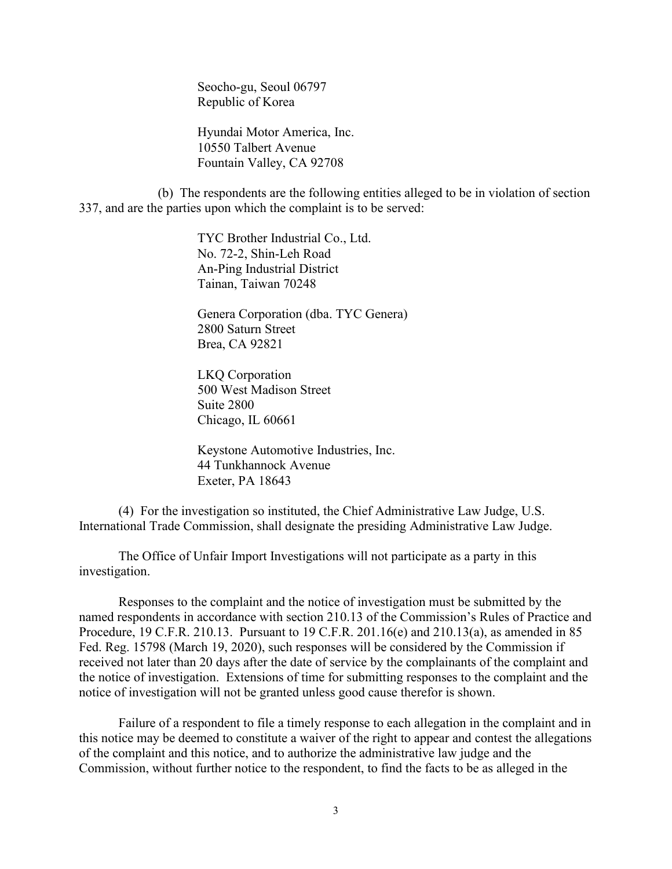Seocho-gu, Seoul 06797 Republic of Korea

Hyundai Motor America, Inc. 10550 Talbert Avenue Fountain Valley, CA 92708

(b) The respondents are the following entities alleged to be in violation of section 337, and are the parties upon which the complaint is to be served:

> TYC Brother Industrial Co., Ltd. No. 72-2, Shin-Leh Road An-Ping Industrial District Tainan, Taiwan 70248

Genera Corporation (dba. TYC Genera) 2800 Saturn Street Brea, CA 92821

LKQ Corporation 500 West Madison Street Suite 2800 Chicago, IL 60661

Keystone Automotive Industries, Inc. 44 Tunkhannock Avenue Exeter, PA 18643

(4) For the investigation so instituted, the Chief Administrative Law Judge, U.S. International Trade Commission, shall designate the presiding Administrative Law Judge.

The Office of Unfair Import Investigations will not participate as a party in this investigation.

Responses to the complaint and the notice of investigation must be submitted by the named respondents in accordance with section 210.13 of the Commission's Rules of Practice and Procedure, 19 C.F.R. 210.13. Pursuant to 19 C.F.R. 201.16(e) and 210.13(a), as amended in 85 Fed. Reg. 15798 (March 19, 2020), such responses will be considered by the Commission if received not later than 20 days after the date of service by the complainants of the complaint and the notice of investigation. Extensions of time for submitting responses to the complaint and the notice of investigation will not be granted unless good cause therefor is shown.

Failure of a respondent to file a timely response to each allegation in the complaint and in this notice may be deemed to constitute a waiver of the right to appear and contest the allegations of the complaint and this notice, and to authorize the administrative law judge and the Commission, without further notice to the respondent, to find the facts to be as alleged in the